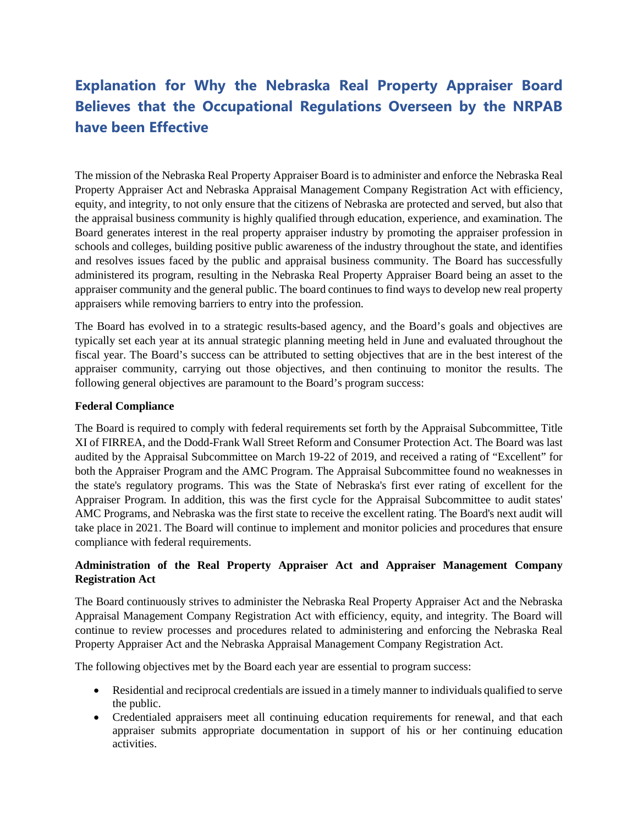# **Explanation for Why the Nebraska Real Property Appraiser Board Believes that the Occupational Regulations Overseen by the NRPAB have been Effective**

The mission of the Nebraska Real Property Appraiser Board is to administer and enforce the Nebraska Real Property Appraiser Act and Nebraska Appraisal Management Company Registration Act with efficiency, equity, and integrity, to not only ensure that the citizens of Nebraska are protected and served, but also that the appraisal business community is highly qualified through education, experience, and examination. The Board generates interest in the real property appraiser industry by promoting the appraiser profession in schools and colleges, building positive public awareness of the industry throughout the state, and identifies and resolves issues faced by the public and appraisal business community. The Board has successfully administered its program, resulting in the Nebraska Real Property Appraiser Board being an asset to the appraiser community and the general public. The board continues to find ways to develop new real property appraisers while removing barriers to entry into the profession.

The Board has evolved in to a strategic results-based agency, and the Board's goals and objectives are typically set each year at its annual strategic planning meeting held in June and evaluated throughout the fiscal year. The Board's success can be attributed to setting objectives that are in the best interest of the appraiser community, carrying out those objectives, and then continuing to monitor the results. The following general objectives are paramount to the Board's program success:

## **Federal Compliance**

The Board is required to comply with federal requirements set forth by the Appraisal Subcommittee, Title XI of FIRREA, and the Dodd-Frank Wall Street Reform and Consumer Protection Act. The Board was last audited by the Appraisal Subcommittee on March 19-22 of 2019, and received a rating of "Excellent" for both the Appraiser Program and the AMC Program. The Appraisal Subcommittee found no weaknesses in the state's regulatory programs. This was the State of Nebraska's first ever rating of excellent for the Appraiser Program. In addition, this was the first cycle for the Appraisal Subcommittee to audit states' AMC Programs, and Nebraska was the first state to receive the excellent rating. The Board's next audit will take place in 2021. The Board will continue to implement and monitor policies and procedures that ensure compliance with federal requirements.

## **Administration of the Real Property Appraiser Act and Appraiser Management Company Registration Act**

The Board continuously strives to administer the Nebraska Real Property Appraiser Act and the Nebraska Appraisal Management Company Registration Act with efficiency, equity, and integrity. The Board will continue to review processes and procedures related to administering and enforcing the Nebraska Real Property Appraiser Act and the Nebraska Appraisal Management Company Registration Act.

The following objectives met by the Board each year are essential to program success:

- Residential and reciprocal credentials are issued in a timely manner to individuals qualified to serve the public.
- Credentialed appraisers meet all continuing education requirements for renewal, and that each appraiser submits appropriate documentation in support of his or her continuing education activities.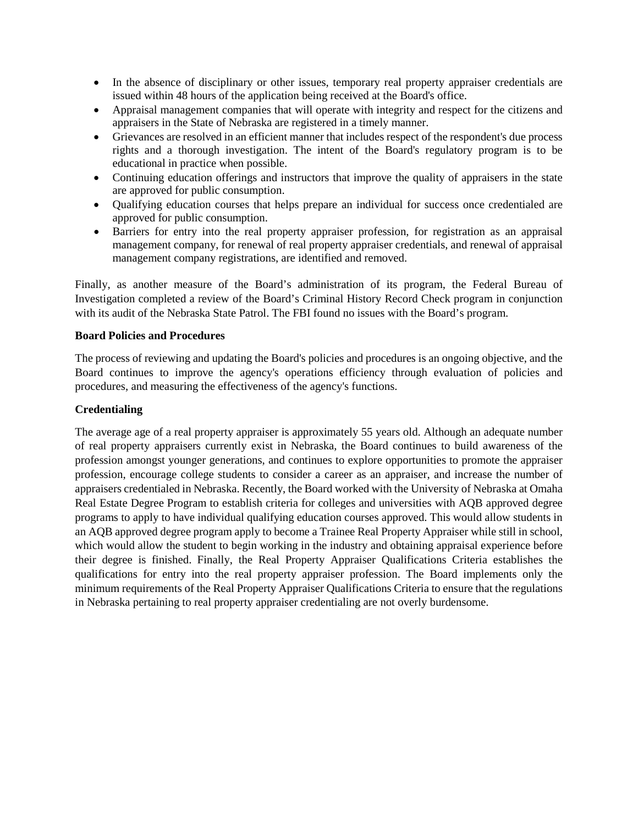- In the absence of disciplinary or other issues, temporary real property appraiser credentials are issued within 48 hours of the application being received at the Board's office.
- Appraisal management companies that will operate with integrity and respect for the citizens and appraisers in the State of Nebraska are registered in a timely manner.
- Grievances are resolved in an efficient manner that includes respect of the respondent's due process rights and a thorough investigation. The intent of the Board's regulatory program is to be educational in practice when possible.
- Continuing education offerings and instructors that improve the quality of appraisers in the state are approved for public consumption.
- Qualifying education courses that helps prepare an individual for success once credentialed are approved for public consumption.
- Barriers for entry into the real property appraiser profession, for registration as an appraisal management company, for renewal of real property appraiser credentials, and renewal of appraisal management company registrations, are identified and removed.

Finally, as another measure of the Board's administration of its program, the Federal Bureau of Investigation completed a review of the Board's Criminal History Record Check program in conjunction with its audit of the Nebraska State Patrol. The FBI found no issues with the Board's program.

## **Board Policies and Procedures**

The process of reviewing and updating the Board's policies and procedures is an ongoing objective, and the Board continues to improve the agency's operations efficiency through evaluation of policies and procedures, and measuring the effectiveness of the agency's functions.

## **Credentialing**

The average age of a real property appraiser is approximately 55 years old. Although an adequate number of real property appraisers currently exist in Nebraska, the Board continues to build awareness of the profession amongst younger generations, and continues to explore opportunities to promote the appraiser profession, encourage college students to consider a career as an appraiser, and increase the number of appraisers credentialed in Nebraska. Recently, the Board worked with the University of Nebraska at Omaha Real Estate Degree Program to establish criteria for colleges and universities with AQB approved degree programs to apply to have individual qualifying education courses approved. This would allow students in an AQB approved degree program apply to become a Trainee Real Property Appraiser while still in school, which would allow the student to begin working in the industry and obtaining appraisal experience before their degree is finished. Finally, the Real Property Appraiser Qualifications Criteria establishes the qualifications for entry into the real property appraiser profession. The Board implements only the minimum requirements of the Real Property Appraiser Qualifications Criteria to ensure that the regulations in Nebraska pertaining to real property appraiser credentialing are not overly burdensome.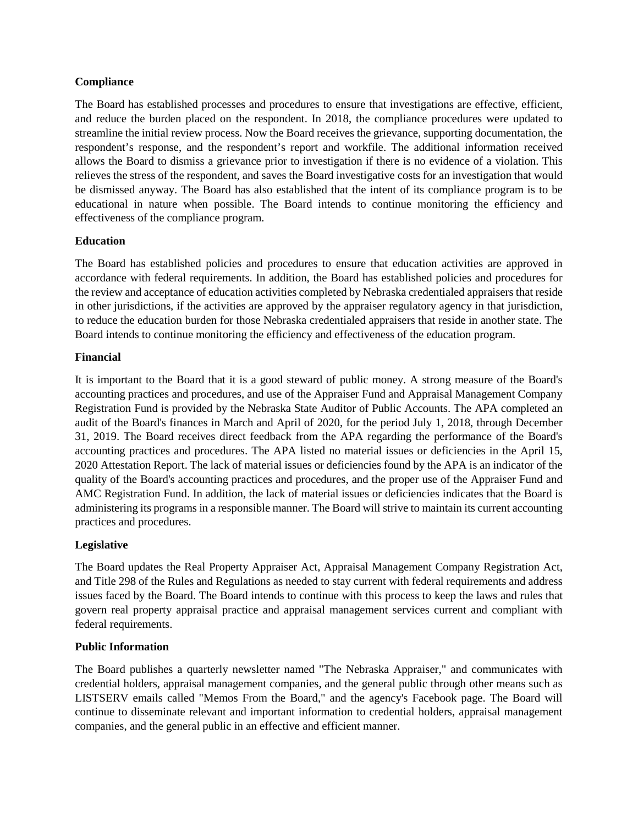## **Compliance**

The Board has established processes and procedures to ensure that investigations are effective, efficient, and reduce the burden placed on the respondent. In 2018, the compliance procedures were updated to streamline the initial review process. Now the Board receives the grievance, supporting documentation, the respondent's response, and the respondent's report and workfile. The additional information received allows the Board to dismiss a grievance prior to investigation if there is no evidence of a violation. This relieves the stress of the respondent, and saves the Board investigative costs for an investigation that would be dismissed anyway. The Board has also established that the intent of its compliance program is to be educational in nature when possible. The Board intends to continue monitoring the efficiency and effectiveness of the compliance program.

## **Education**

The Board has established policies and procedures to ensure that education activities are approved in accordance with federal requirements. In addition, the Board has established policies and procedures for the review and acceptance of education activities completed by Nebraska credentialed appraisers that reside in other jurisdictions, if the activities are approved by the appraiser regulatory agency in that jurisdiction, to reduce the education burden for those Nebraska credentialed appraisers that reside in another state. The Board intends to continue monitoring the efficiency and effectiveness of the education program.

## **Financial**

It is important to the Board that it is a good steward of public money. A strong measure of the Board's accounting practices and procedures, and use of the Appraiser Fund and Appraisal Management Company Registration Fund is provided by the Nebraska State Auditor of Public Accounts. The APA completed an audit of the Board's finances in March and April of 2020, for the period July 1, 2018, through December 31, 2019. The Board receives direct feedback from the APA regarding the performance of the Board's accounting practices and procedures. The APA listed no material issues or deficiencies in the April 15, 2020 Attestation Report. The lack of material issues or deficiencies found by the APA is an indicator of the quality of the Board's accounting practices and procedures, and the proper use of the Appraiser Fund and AMC Registration Fund. In addition, the lack of material issues or deficiencies indicates that the Board is administering its programs in a responsible manner. The Board will strive to maintain its current accounting practices and procedures.

## **Legislative**

The Board updates the Real Property Appraiser Act, Appraisal Management Company Registration Act, and Title 298 of the Rules and Regulations as needed to stay current with federal requirements and address issues faced by the Board. The Board intends to continue with this process to keep the laws and rules that govern real property appraisal practice and appraisal management services current and compliant with federal requirements.

## **Public Information**

The Board publishes a quarterly newsletter named "The Nebraska Appraiser," and communicates with credential holders, appraisal management companies, and the general public through other means such as LISTSERV emails called "Memos From the Board," and the agency's Facebook page. The Board will continue to disseminate relevant and important information to credential holders, appraisal management companies, and the general public in an effective and efficient manner.